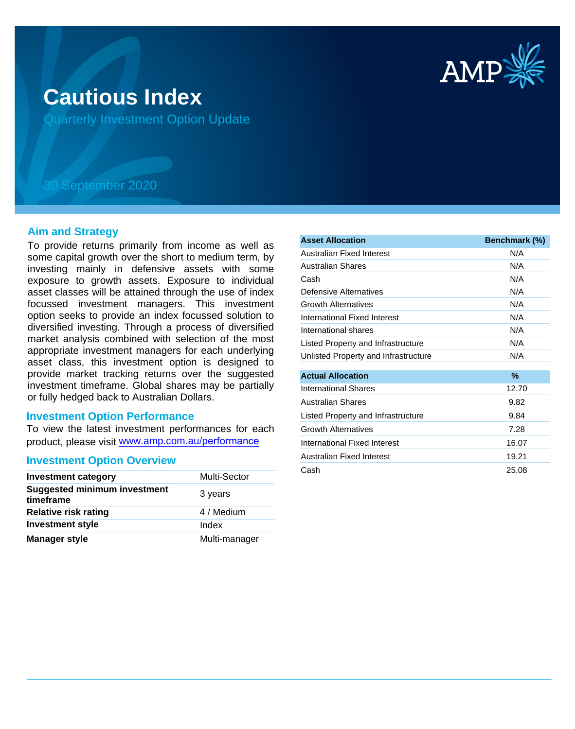

# **Cautious Index**

Quarterly Investment Option Update

## 30 September 2020

#### **Aim and Strategy**

To provide returns primarily from income as well as some capital growth over the short to medium term, by investing mainly in defensive assets with some exposure to growth assets. Exposure to individual asset classes will be attained through the use of index focussed investment managers. This investment option seeks to provide an index focussed solution to diversified investing. Through a process of diversified market analysis combined with selection of the most appropriate investment managers for each underlying asset class, this investment option is designed to provide market tracking returns over the suggested investment timeframe. Global shares may be partially or fully hedged back to Australian Dollars.

#### **Investment Option Performance**

To view the latest investment performances for each product, please visit www.amp.com.au/performance

#### **Investment Option Overview**

| <b>Investment category</b>                       | Multi-Sector  |
|--------------------------------------------------|---------------|
| <b>Suggested minimum investment</b><br>timeframe | 3 years       |
| <b>Relative risk rating</b>                      | 4 / Medium    |
| <b>Investment style</b>                          | Index         |
| <b>Manager style</b>                             | Multi-manager |

| <b>Asset Allocation</b>              | Benchmark (%) |
|--------------------------------------|---------------|
| Australian Fixed Interest            | N/A           |
| Australian Shares                    | N/A           |
| Cash                                 | N/A           |
| Defensive Alternatives               | N/A           |
| <b>Growth Alternatives</b>           | N/A           |
| International Fixed Interest         | N/A           |
| International shares                 | N/A           |
| Listed Property and Infrastructure   | N/A           |
| Unlisted Property and Infrastructure | N/A           |
| <b>Actual Allocation</b>             | $\%$          |
| <b>International Shares</b>          | 12.70         |
| <b>Australian Shares</b>             | 9.82          |
| Listed Property and Infrastructure   | 9.84          |
| <b>Growth Alternatives</b>           | 7.28          |
| International Fixed Interest         | 16.07         |
| Australian Fixed Interest            | 19.21         |
| Cash                                 | 25.08         |